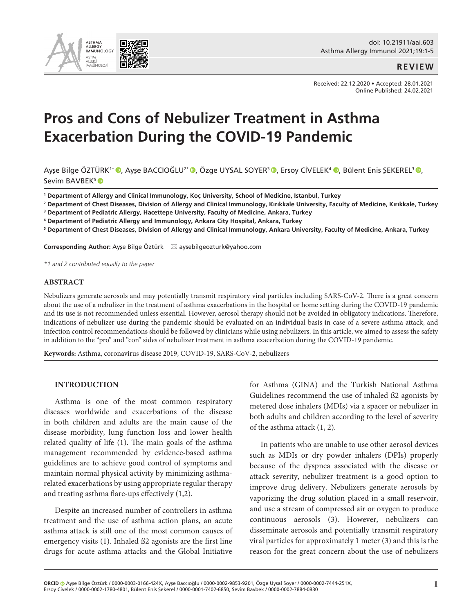

### **REVIEW**

Received: 22.12.2020 • Accepted: 28.01.2021 Online Published: 24.02.2021

# **Pros and Cons of Nebulizer Treatment in Asthma Exacerbation During the COVID-19 Pandemic**

Ayşe Bilge ÖZTÜRK<sup>1\*</sup> <sup>(0</sup>[,](https://orcid.org/0000-0002-1780-4801) Ayşe BACCIOĞLU<sup>2\* (0</sup>, Özge UYSAL SOYER<sup>3</sup> <sup>(0</sup>), Ersoy CİVELEK<sup>4</sup> (0), Bülent Enis ŞEKEREL<sup>3</sup> (0), SevimBAVBEK<sup>5</sup>

**<sup>1</sup> Department of Allergy and Clinical Immunology, Koç University, School of Medicine, Istanbul, Turkey** 

**2 Department of Chest Diseases, Division of Allergy and Clinical Immunology, Kırıkkale University, Faculty of Medicine, Kırıkkale, Turkey** 

**3 Department of Pediatric Allergy, Hacettepe University, Faculty of Medicine, Ankara, Turkey**

**4 Department of Pediatric Allergy and Immunology, Ankara City Hospital, Ankara, Turkey**

**5 Department of Chest Diseases, Division of Allergy and Clinical Immunology, Ankara University, Faculty of Medicine, Ankara, Turkey** 

**Corresponding Author:** Ayşe Bilge Öztürk \* aysebilgeozturk@yahoo.com

*\*1 and 2 contributed equally to the paper*

#### **ABSTRACT**

Nebulizers generate aerosols and may potentially transmit respiratory viral particles including SARS-CoV-2. There is a great concern about the use of a nebulizer in the treatment of asthma exacerbations in the hospital or home setting during the COVID-19 pandemic and its use is not recommended unless essential. However, aerosol therapy should not be avoided in obligatory indications. Therefore, indications of nebulizer use during the pandemic should be evaluated on an individual basis in case of a severe asthma attack, and infection control recommendations should be followed by clinicians while using nebulizers. In this article, we aimed to assess the safety in addition to the "pro" and "con" sides of nebulizer treatment in asthma exacerbation during the COVID-19 pandemic.

**Keywords:** Asthma, coronavirus disease 2019, COVID-19, SARS-CoV-2, nebulizers

#### **INTRODUCTION**

Asthma is one of the most common respiratory diseases worldwide and exacerbations of the disease in both children and adults are the main cause of the disease morbidity, lung function loss and lower health related quality of life (1). The main goals of the asthma management recommended by evidence-based asthma guidelines are to achieve good control of symptoms and maintain normal physical activity by minimizing asthmarelated exacerbations by using appropriate regular therapy and treating asthma flare-ups effectively (1,2).

Despite an increased number of controllers in asthma treatment and the use of asthma action plans, an acute asthma attack is still one of the most common causes of emergency visits (1). Inhaled ß2 agonists are the first line drugs for acute asthma attacks and the Global Initiative

for Asthma (GINA) and the Turkish National Asthma Guidelines recommend the use of inhaled ß2 agonists by metered dose inhalers (MDIs) via a spacer or nebulizer in both adults and children according to the level of severity of the asthma attack (1, 2).

In patients who are unable to use other aerosol devices such as MDIs or dry powder inhalers (DPIs) properly because of the dyspnea associated with the disease or attack severity, nebulizer treatment is a good option to improve drug delivery. Nebulizers generate aerosols by vaporizing the drug solution placed in a small reservoir, and use a stream of compressed air or oxygen to produce continuous aerosols (3). However, nebulizers can disseminate aerosols and potentially transmit respiratory viral particles for approximately 1 meter (3) and this is the reason for the great concern about the use of nebulizers

**ORCID** Ayşe Bilge Öztürk / 0000-0003-0166-424X, Ayşe Baccıoğlu / 0000-0002-9853-9201, Özge Uysal Soyer / 0000-0002-7444-251X, Ersoy Civelek / 0000-0002-1780-4801, Bülent Enis Şekerel / 0000-0001-7402-6850, Sevim Bavbek / 0000-0002-7884-0830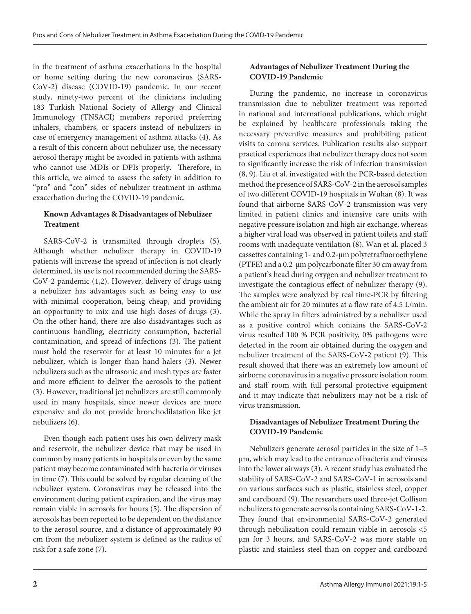in the treatment of asthma exacerbations in the hospital or home setting during the new coronavirus (SARS-CoV-2) disease (COVID-19) pandemic. In our recent study, ninety-two percent of the clinicians including 183 Turkish National Society of Allergy and Clinical Immunology (TNSACI) members reported preferring inhalers, chambers, or spacers instead of nebulizers in case of emergency management of asthma attacks (4). As a result of this concern about nebulizer use, the necessary aerosol therapy might be avoided in patients with asthma who cannot use MDIs or DPIs properly. Therefore, in this article, we aimed to assess the safety in addition to "pro" and "con" sides of nebulizer treatment in asthma exacerbation during the COVID-19 pandemic.

# **Known Advantages & Disadvantages of Nebulizer Treatment**

SARS-CoV-2 is transmitted through droplets (5). Although whether nebulizer therapy in COVID-19 patients will increase the spread of infection is not clearly determined, its use is not recommended during the SARS-CoV-2 pandemic (1,2). However, delivery of drugs using a nebulizer has advantages such as being easy to use with minimal cooperation, being cheap, and providing an opportunity to mix and use high doses of drugs (3). On the other hand, there are also disadvantages such as continuous handling, electricity consumption, bacterial contamination, and spread of infections (3). The patient must hold the reservoir for at least 10 minutes for a jet nebulizer, which is longer than hand-halers (3). Newer nebulizers such as the ultrasonic and mesh types are faster and more efficient to deliver the aerosols to the patient (3). However, traditional jet nebulizers are still commonly used in many hospitals, since newer devices are more expensive and do not provide bronchodilatation like jet nebulizers (6).

Even though each patient uses his own delivery mask and reservoir, the nebulizer device that may be used in common by many patients in hospitals or even by the same patient may become contaminated with bacteria or viruses in time (7). This could be solved by regular cleaning of the nebulizer system. Coronavirus may be released into the environment during patient expiration, and the virus may remain viable in aerosols for hours (5). The dispersion of aerosols has been reported to be dependent on the distance to the aerosol source, and a distance of approximately 90 cm from the nebulizer system is defined as the radius of risk for a safe zone (7).

# **Advantages of Nebulizer Treatment During the COVID-19 Pandemic**

During the pandemic, no increase in coronavirus transmission due to nebulizer treatment was reported in national and international publications, which might be explained by healthcare professionals taking the necessary preventive measures and prohibiting patient visits to corona services. Publication results also support practical experiences that nebulizer therapy does not seem to significantly increase the risk of infection transmission (8, 9). Liu et al. investigated with the PCR-based detection method the presence of SARS-CoV-2 in the aerosol samples of two different COVID-19 hospitals in Wuhan (8). It was found that airborne SARS-CoV-2 transmission was very limited in patient clinics and intensive care units with negative pressure isolation and high air exchange, whereas a higher viral load was observed in patient toilets and staff rooms with inadequate ventilation (8). Wan et al. placed 3 cassettes containing 1- and 0.2-µm polytetrafluoroethylene (PTFE) and a 0.2-µm polycarbonate filter 30 cm away from a patient's head during oxygen and nebulizer treatment to investigate the contagious effect of nebulizer therapy (9). The samples were analyzed by real time-PCR by filtering the ambient air for 20 minutes at a flow rate of 4.5 L/min. While the spray in filters administred by a nebulizer used as a positive control which contains the SARS-CoV-2 virus resulted 100 % PCR positivity, 0% pathogens were detected in the room air obtained during the oxygen and nebulizer treatment of the SARS-CoV-2 patient (9). This result showed that there was an extremely low amount of airborne coronavirus in a negative pressure isolation room and staff room with full personal protective equipment and it may indicate that nebulizers may not be a risk of virus transmission.

# **Disadvantages of Nebulizer Treatment During the COVID-19 Pandemic**

Nebulizers generate aerosol particles in the size of 1–5 μm, which may lead to the entrance of bacteria and viruses into the lower airways (3). A recent study has evaluated the stability of SARS-CoV-2 and SARS-CoV-1 in aerosols and on various surfaces such as plastic, stainless steel, copper and cardboard (9). The researchers used three-jet Collison nebulizers to generate aerosols containing SARS-CoV-1-2. They found that environmental SARS-CoV-2 generated through nebulization could remain viable in aerosols <5 μm for 3 hours, and SARS-CoV-2 was more stable on plastic and stainless steel than on copper and cardboard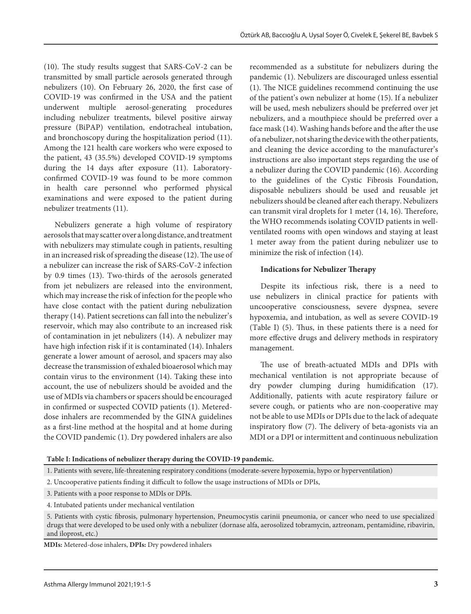(10). The study results suggest that SARS-CoV-2 can be transmitted by small particle aerosols generated through nebulizers (10). On February 26, 2020, the first case of COVID-19 was confirmed in the USA and the patient underwent multiple aerosol-generating procedures including nebulizer treatments, bilevel positive airway pressure (BiPAP) ventilation, endotracheal intubation, and bronchoscopy during the hospitalization period (11). Among the 121 health care workers who were exposed to the patient, 43 (35.5%) developed COVID-19 symptoms during the 14 days after exposure (11). Laboratoryconfirmed COVID-19 was found to be more common in health care personnel who performed physical examinations and were exposed to the patient during nebulizer treatments (11).

Nebulizers generate a high volume of respiratory aerosols that may scatter over a long distance, and treatment with nebulizers may stimulate cough in patients, resulting in an increased risk of spreading the disease (12). The use of a nebulizer can increase the risk of SARS-CoV-2 infection by 0.9 times (13). Two-thirds of the aerosols generated from jet nebulizers are released into the environment, which may increase the risk of infection for the people who have close contact with the patient during nebulization therapy (14). Patient secretions can fall into the nebulizer's reservoir, which may also contribute to an increased risk of contamination in jet nebulizers (14). A nebulizer may have high infection risk if it is contaminated (14). Inhalers generate a lower amount of aerosol, and spacers may also decrease the transmission of exhaled bioaerosol which may contain virus to the environment (14). Taking these into account, the use of nebulizers should be avoided and the use of MDIs via chambers or spacers should be encouraged in confirmed or suspected COVID patients (1). Metereddose inhalers are recommended by the GINA guidelines as a first-line method at the hospital and at home during the COVID pandemic (1). Dry powdered inhalers are also

recommended as a substitute for nebulizers during the pandemic (1). Nebulizers are discouraged unless essential (1). The NICE guidelines recommend continuing the use of the patient's own nebulizer at home (15). If a nebulizer will be used, mesh nebulizers should be preferred over jet nebulizers, and a mouthpiece should be preferred over a face mask (14). Washing hands before and the after the use of a nebulizer, not sharing the device with the other patients, and cleaning the device according to the manufacturer's instructions are also important steps regarding the use of a nebulizer during the COVID pandemic (16). According to the guidelines of the Cystic Fibrosis Foundation, disposable nebulizers should be used and reusable jet nebulizers should be cleaned after each therapy. Nebulizers can transmit viral droplets for 1 meter (14, 16). Therefore, the WHO recommends isolating COVID patients in wellventilated rooms with open windows and staying at least 1 meter away from the patient during nebulizer use to minimize the risk of infection (14).

## **Indications for Nebulizer Therapy**

Despite its infectious risk, there is a need to use nebulizers in clinical practice for patients with uncooperative consciousness, severe dyspnea, severe hypoxemia, and intubation, as well as severe COVID-19 (Table I) (5). Thus, in these patients there is a need for more effective drugs and delivery methods in respiratory management.

The use of breath-actuated MDIs and DPIs with mechanical ventilation is not appropriate because of dry powder clumping during humidification (17). Additionally, patients with acute respiratory failure or severe cough, or patients who are non-cooperative may not be able to use MDIs or DPIs due to the lack of adequate inspiratory flow (7). The delivery of beta-agonists via an MDI or a DPI or intermittent and continuous nebulization

```
Table I: Indications of nebulizer therapy during the COVID-19 pandemic.
```
**MDIs:** Metered-dose inhalers, **DPIs:** Dry powdered inhalers

<sup>1.</sup> Patients with severe, life-threatening respiratory conditions (moderate-severe hypoxemia, hypo or hyperventilation)

<sup>2.</sup> Uncooperative patients finding it difficult to follow the usage instructions of MDIs or DPIs,

<sup>3.</sup> Patients with a poor response to MDIs or DPIs.

<sup>4.</sup> Intubated patients under mechanical ventilation

<sup>5.</sup> Patients with cystic fibrosis, pulmonary hypertension, Pneumocystis carinii pneumonia, or cancer who need to use specialized drugs that were developed to be used only with a nebulizer (dornase alfa, aerosolized tobramycin, aztreonam, pentamidine, ribavirin, and iloprost, etc.)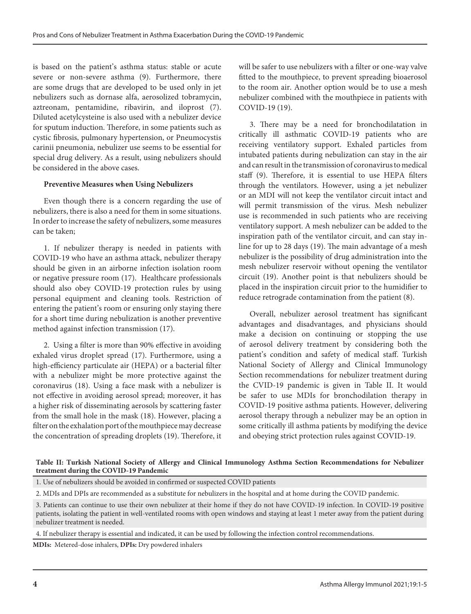is based on the patient's asthma status: stable or acute severe or non-severe asthma (9). Furthermore, there are some drugs that are developed to be used only in jet nebulizers such as dornase alfa, aerosolized tobramycin, aztreonam, pentamidine, ribavirin, and iloprost (7). Diluted acetylcysteine is also used with a nebulizer device for sputum induction. Therefore, in some patients such as cystic fibrosis, pulmonary hypertension, or Pneumocystis carinii pneumonia, nebulizer use seems to be essential for special drug delivery. As a result, using nebulizers should be considered in the above cases.

## **Preventive Measures when Using Nebulizers**

Even though there is a concern regarding the use of nebulizers, there is also a need for them in some situations. In order to increase the safety of nebulizers, some measures can be taken;

1. If nebulizer therapy is needed in patients with COVID-19 who have an asthma attack, nebulizer therapy should be given in an airborne infection isolation room or negative pressure room (17). Healthcare professionals should also obey COVID-19 protection rules by using personal equipment and cleaning tools. Restriction of entering the patient's room or ensuring only staying there for a short time during nebulization is another preventive method against infection transmission (17).

2. Using a filter is more than 90% effective in avoiding exhaled virus droplet spread (17). Furthermore, using a high-efficiency particulate air (HEPA) or a bacterial filter with a nebulizer might be more protective against the coronavirus (18). Using a face mask with a nebulizer is not effective in avoiding aerosol spread; moreover, it has a higher risk of disseminating aerosols by scattering faster from the small hole in the mask (18). However, placing a filter on the exhalation port of the mouthpiece may decrease the concentration of spreading droplets (19). Therefore, it will be safer to use nebulizers with a filter or one-way valve fitted to the mouthpiece, to prevent spreading bioaerosol to the room air. Another option would be to use a mesh nebulizer combined with the mouthpiece in patients with COVID-19 (19).

3. There may be a need for bronchodilatation in critically ill asthmatic COVID-19 patients who are receiving ventilatory support. Exhaled particles from intubated patients during nebulization can stay in the air and can result in the transmission of coronavirus to medical staff (9). Therefore, it is essential to use HEPA filters through the ventilators. However, using a jet nebulizer or an MDI will not keep the ventilator circuit intact and will permit transmission of the virus. Mesh nebulizer use is recommended in such patients who are receiving ventilatory support. A mesh nebulizer can be added to the inspiration path of the ventilator circuit, and can stay inline for up to 28 days (19). The main advantage of a mesh nebulizer is the possibility of drug administration into the mesh nebulizer reservoir without opening the ventilator circuit (19). Another point is that nebulizers should be placed in the inspiration circuit prior to the humidifier to reduce retrograde contamination from the patient (8).

Overall, nebulizer aerosol treatment has significant advantages and disadvantages, and physicians should make a decision on continuing or stopping the use of aerosol delivery treatment by considering both the patient's condition and safety of medical staff. Turkish National Society of Allergy and Clinical Immunology Section recommendations for nebulizer treatment during the CVID-19 pandemic is given in Table II. It would be safer to use MDIs for bronchodilation therapy in COVID-19 positive asthma patients. However, delivering aerosol therapy through a nebulizer may be an option in some critically ill asthma patients by modifying the device and obeying strict protection rules against COVID-19.

## **Table II: Turkish National Society of Allergy and Clinical Immunology Asthma Section Recommendations for Nebulizer treatment during the COVID-19 Pandemic**

1. Use of nebulizers should be avoided in confirmed or suspected COVID patients

4. If nebulizer therapy is essential and indicated, it can be used by following the infection control recommendations.

**MDIs:** Metered-dose inhalers, **DPIs:** Dry powdered inhalers

<sup>2.</sup> MDIs and DPIs are recommended as a substitute for nebulizers in the hospital and at home during the COVID pandemic.

<sup>3.</sup> Patients can continue to use their own nebulizer at their home if they do not have COVID-19 infection. In COVID-19 positive patients, isolating the patient in well-ventilated rooms with open windows and staying at least 1 meter away from the patient during nebulizer treatment is needed.